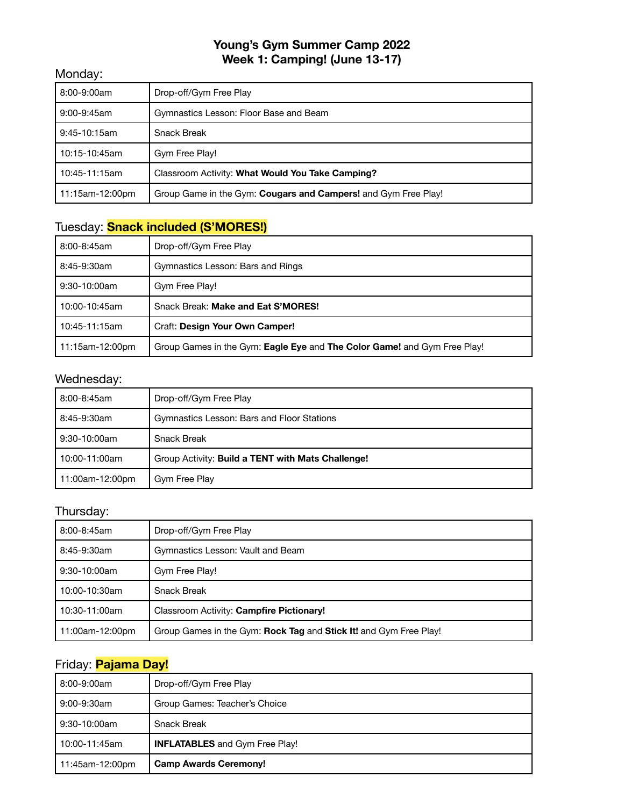### **Young's Gym Summer Camp 2022 Week 1: Camping! (June 13-17)**

#### Monday:

| 8:00-9:00am     | Drop-off/Gym Free Play                                         |
|-----------------|----------------------------------------------------------------|
| 9:00-9:45am     | Gymnastics Lesson: Floor Base and Beam                         |
| $9:45-10:15am$  | <b>Snack Break</b>                                             |
| 10:15-10:45am   | Gym Free Play!                                                 |
| 10:45-11:15am   | Classroom Activity: What Would You Take Camping?               |
| 11:15am-12:00pm | Group Game in the Gym: Cougars and Campers! and Gym Free Play! |

# Tuesday: **Snack included (S'MORES!)**

| 8:00-8:45am     | Drop-off/Gym Free Play                                                   |
|-----------------|--------------------------------------------------------------------------|
| 8:45-9:30am     | Gymnastics Lesson: Bars and Rings                                        |
| $9:30-10:00am$  | Gym Free Play!                                                           |
| 10:00-10:45am   | Snack Break: Make and Eat S'MORES!                                       |
| 10:45-11:15am   | Craft: Design Your Own Camper!                                           |
| 11:15am-12:00pm | Group Games in the Gym: Eagle Eye and The Color Game! and Gym Free Play! |

#### Wednesday:

| 8:00-8:45am     | Drop-off/Gym Free Play                            |
|-----------------|---------------------------------------------------|
| 8:45-9:30am     | Gymnastics Lesson: Bars and Floor Stations        |
| 9:30-10:00am    | <b>Snack Break</b>                                |
| 10:00-11:00am   | Group Activity: Build a TENT with Mats Challenge! |
| 11:00am-12:00pm | Gym Free Play                                     |

### Thursday:

| 8:00-8:45am     | Drop-off/Gym Free Play                                            |
|-----------------|-------------------------------------------------------------------|
| 8:45-9:30am     | Gymnastics Lesson: Vault and Beam                                 |
| 9:30-10:00am    | Gym Free Play!                                                    |
| 10:00-10:30am   | <b>Snack Break</b>                                                |
| 10:30-11:00am   | Classroom Activity: Campfire Pictionary!                          |
| 11:00am-12:00pm | Group Games in the Gym: Rock Tag and Stick It! and Gym Free Play! |

# Friday: **Pajama Day!**

| 8:00-9:00am     | Drop-off/Gym Free Play                |
|-----------------|---------------------------------------|
| 9:00-9:30am     | Group Games: Teacher's Choice         |
| 9:30-10:00am    | <b>Snack Break</b>                    |
| 10:00-11:45am   | <b>INFLATABLES</b> and Gym Free Play! |
| 11:45am-12:00pm | <b>Camp Awards Ceremony!</b>          |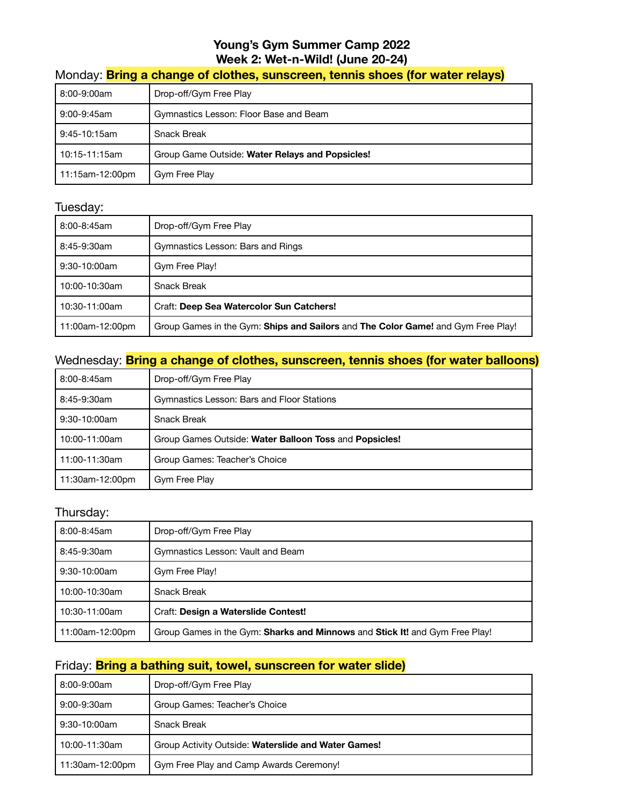## **Young's Gym Summer Camp 2022 Week 2: Wet-n-Wild! (June 20-24)**

# Monday: **Bring a change of clothes, sunscreen, tennis shoes (for water relays)**

| 8:00-9:00am     | Drop-off/Gym Free Play                          |
|-----------------|-------------------------------------------------|
| 9:00-9:45am     | Gymnastics Lesson: Floor Base and Beam          |
| 9:45-10:15am    | <b>Snack Break</b>                              |
| l 10:15-11:15am | Group Game Outside: Water Relays and Popsicles! |
| 11:15am-12:00pm | Gym Free Play                                   |

#### Tuesday:

| 8:00-8:45am     | Drop-off/Gym Free Play                                                           |
|-----------------|----------------------------------------------------------------------------------|
| 8:45-9:30am     | Gymnastics Lesson: Bars and Rings                                                |
| $9:30-10:00am$  | Gym Free Play!                                                                   |
| 10:00-10:30am   | Snack Break                                                                      |
| 10:30-11:00am   | Craft: Deep Sea Watercolor Sun Catchers!                                         |
| 11:00am-12:00pm | Group Games in the Gym: Ships and Sailors and The Color Game! and Gym Free Play! |

### Wednesday: **Bring a change of clothes, sunscreen, tennis shoes (for water balloons)**

| 8:00-8:45am     | Drop-off/Gym Free Play                                 |
|-----------------|--------------------------------------------------------|
| 8:45-9:30am     | Gymnastics Lesson: Bars and Floor Stations             |
| $9:30-10:00am$  | <b>Snack Break</b>                                     |
| 10:00-11:00am   | Group Games Outside: Water Balloon Toss and Popsicles! |
| 11:00-11:30am   | Group Games: Teacher's Choice                          |
| 11:30am-12:00pm | Gym Free Play                                          |

### Thursday:

| 8:00-8:45am     | Drop-off/Gym Free Play                                                      |
|-----------------|-----------------------------------------------------------------------------|
| 8:45-9:30am     | Gymnastics Lesson: Vault and Beam                                           |
| 9:30-10:00am    | Gym Free Play!                                                              |
| 10:00-10:30am   | <b>Snack Break</b>                                                          |
| 10:30-11:00am   | Craft: Design a Waterslide Contest!                                         |
| 11:00am-12:00pm | Group Games in the Gym: Sharks and Minnows and Stick It! and Gym Free Play! |

#### Friday: **Bring a bathing suit, towel, sunscreen for water slide)**

| 8:00-9:00am     | Drop-off/Gym Free Play                              |
|-----------------|-----------------------------------------------------|
| 9:00-9:30am     | Group Games: Teacher's Choice                       |
| $9:30-10:00am$  | <b>Snack Break</b>                                  |
| 10:00-11:30am   | Group Activity Outside: Waterslide and Water Games! |
| 11:30am-12:00pm | Gym Free Play and Camp Awards Ceremony!             |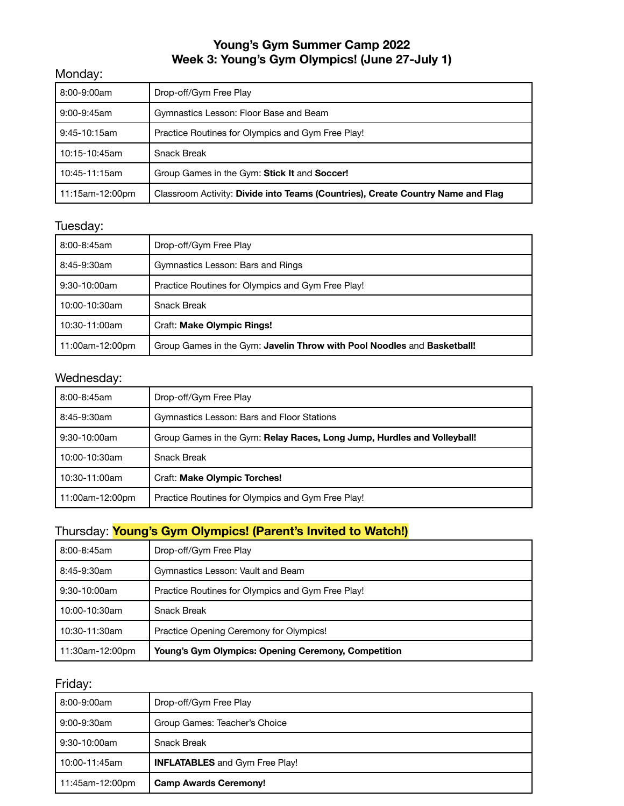### **Young's Gym Summer Camp 2022 Week 3: Young's Gym Olympics! (June 27-July 1)**

#### Monday:

| 8:00-9:00am     | Drop-off/Gym Free Play                                                          |
|-----------------|---------------------------------------------------------------------------------|
| 9:00-9:45am     | Gymnastics Lesson: Floor Base and Beam                                          |
| $9:45-10:15am$  | Practice Routines for Olympics and Gym Free Play!                               |
| 10:15-10:45am   | <b>Snack Break</b>                                                              |
| 10:45-11:15am   | Group Games in the Gym: Stick It and Soccer!                                    |
| 11:15am-12:00pm | Classroom Activity: Divide into Teams (Countries), Create Country Name and Flag |

### Tuesday:

| 8:00-8:45am     | Drop-off/Gym Free Play                                                  |
|-----------------|-------------------------------------------------------------------------|
| 8:45-9:30am     | Gymnastics Lesson: Bars and Rings                                       |
| $9:30-10:00am$  | Practice Routines for Olympics and Gym Free Play!                       |
| 10:00-10:30am   | <b>Snack Break</b>                                                      |
| 10:30-11:00am   | Craft: Make Olympic Rings!                                              |
| 11:00am-12:00pm | Group Games in the Gym: Javelin Throw with Pool Noodles and Basketball! |

# Wednesday:

| 8:00-8:45am     | Drop-off/Gym Free Play                                                  |
|-----------------|-------------------------------------------------------------------------|
| 8:45-9:30am     | Gymnastics Lesson: Bars and Floor Stations                              |
| $9:30-10:00am$  | Group Games in the Gym: Relay Races, Long Jump, Hurdles and Volleyball! |
| 10:00-10:30am   | <b>Snack Break</b>                                                      |
| 10:30-11:00am   | Craft: Make Olympic Torches!                                            |
| 11:00am-12:00pm | Practice Routines for Olympics and Gym Free Play!                       |

# Thursday: **Young's Gym Olympics! (Parent's Invited to Watch!)**

| $8:00 - 8:45$ am | Drop-off/Gym Free Play                                     |
|------------------|------------------------------------------------------------|
| 8:45-9:30am      | Gymnastics Lesson: Vault and Beam                          |
| $9:30-10:00am$   | Practice Routines for Olympics and Gym Free Play!          |
| 10:00-10:30am    | <b>Snack Break</b>                                         |
| 10:30-11:30am    | Practice Opening Ceremony for Olympics!                    |
| 11:30am-12:00pm  | <b>Young's Gym Olympics: Opening Ceremony, Competition</b> |

| 8:00-9:00am     | Drop-off/Gym Free Play                |
|-----------------|---------------------------------------|
| 9:00-9:30am     | Group Games: Teacher's Choice         |
| 9:30-10:00am    | Snack Break                           |
| 10:00-11:45am   | <b>INFLATABLES</b> and Gym Free Play! |
| 11:45am-12:00pm | <b>Camp Awards Ceremony!</b>          |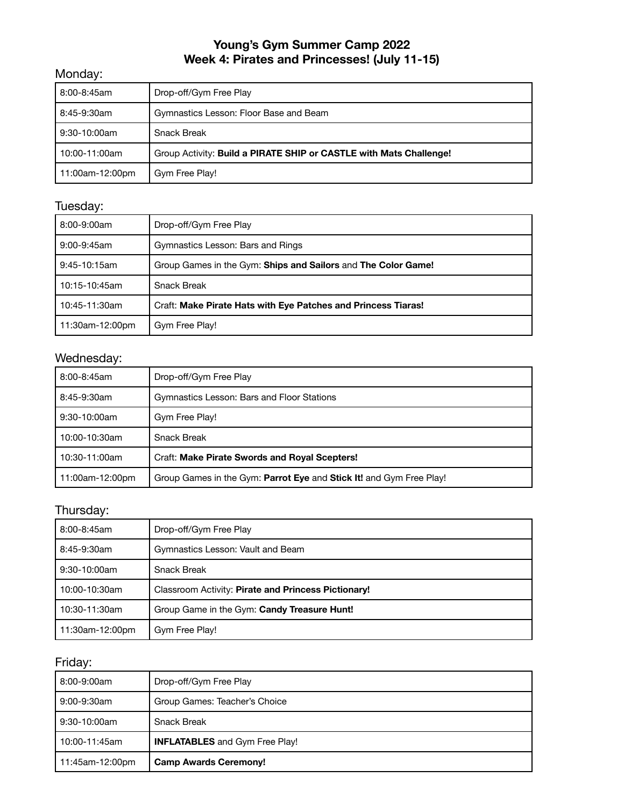# **Young's Gym Summer Camp 2022 Week 4: Pirates and Princesses! (July 11-15)**

### Monday:

| 8:00-8:45am     | Drop-off/Gym Free Play                                             |
|-----------------|--------------------------------------------------------------------|
| 8:45-9:30am     | Gymnastics Lesson: Floor Base and Beam                             |
| 9:30-10:00am    | <b>Snack Break</b>                                                 |
| 10:00-11:00am   | Group Activity: Build a PIRATE SHIP or CASTLE with Mats Challenge! |
| 11:00am-12:00pm | Gym Free Play!                                                     |

# Tuesday:

| 8:00-9:00am     | Drop-off/Gym Free Play                                        |
|-----------------|---------------------------------------------------------------|
| 9:00-9:45am     | Gymnastics Lesson: Bars and Rings                             |
| $9:45-10:15am$  | Group Games in the Gym: Ships and Sailors and The Color Game! |
| 10:15-10:45am   | <b>Snack Break</b>                                            |
| 10:45-11:30am   | Craft: Make Pirate Hats with Eye Patches and Princess Tiaras! |
| 11:30am-12:00pm | Gym Free Play!                                                |

### Wednesday:

| 8:00-8:45am     | Drop-off/Gym Free Play                                              |
|-----------------|---------------------------------------------------------------------|
| 8:45-9:30am     | Gymnastics Lesson: Bars and Floor Stations                          |
| $9:30-10:00am$  | Gym Free Play!                                                      |
| 10:00-10:30am   | <b>Snack Break</b>                                                  |
| 10:30-11:00am   | <b>Craft: Make Pirate Swords and Royal Scepters!</b>                |
| 11:00am-12:00pm | Group Games in the Gym: Parrot Eye and Stick It! and Gym Free Play! |

### Thursday:

| 8:00-8:45am     | Drop-off/Gym Free Play                              |
|-----------------|-----------------------------------------------------|
| 8:45-9:30am     | Gymnastics Lesson: Vault and Beam                   |
| 9:30-10:00am    | Snack Break                                         |
| 10:00-10:30am   | Classroom Activity: Pirate and Princess Pictionary! |
| 10:30-11:30am   | Group Game in the Gym: Candy Treasure Hunt!         |
| 11:30am-12:00pm | Gym Free Play!                                      |

| 8:00-9:00am     | Drop-off/Gym Free Play                |
|-----------------|---------------------------------------|
| 9:00-9:30am     | Group Games: Teacher's Choice         |
| 9:30-10:00am    | <b>Snack Break</b>                    |
| 10:00-11:45am   | <b>INFLATABLES</b> and Gym Free Play! |
| 11:45am-12:00pm | <b>Camp Awards Ceremony!</b>          |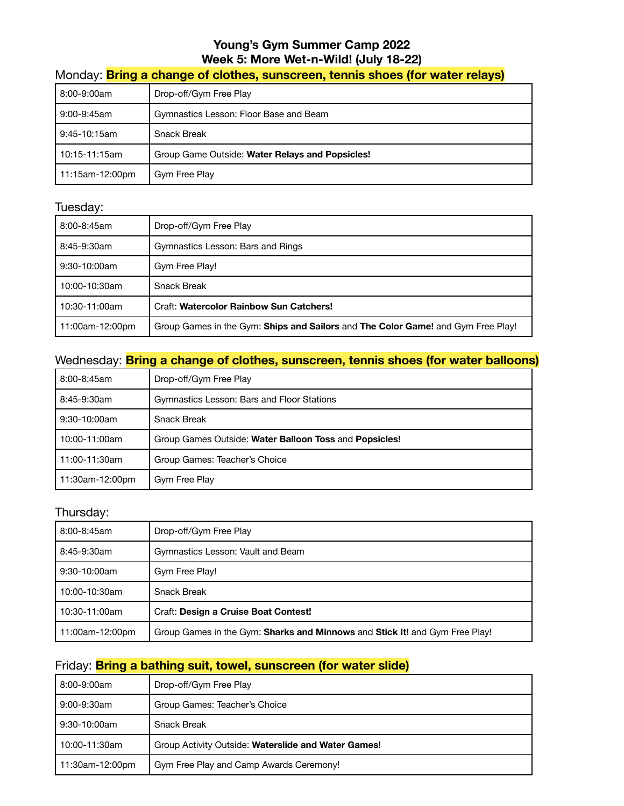# **Young's Gym Summer Camp 2022 Week 5: More Wet-n-Wild! (July 18-22)**

# Monday: **Bring a change of clothes, sunscreen, tennis shoes (for water relays)**

| 8:00-9:00am     | Drop-off/Gym Free Play                          |
|-----------------|-------------------------------------------------|
| 9:00-9:45am     | Gymnastics Lesson: Floor Base and Beam          |
| 9:45-10:15am    | <b>Snack Break</b>                              |
| l 10:15-11:15am | Group Game Outside: Water Relays and Popsicles! |
| 11:15am-12:00pm | Gym Free Play                                   |

#### Tuesday:

| 8:00-8:45am     | Drop-off/Gym Free Play                                                           |
|-----------------|----------------------------------------------------------------------------------|
| 8:45-9:30am     | Gymnastics Lesson: Bars and Rings                                                |
| $9:30-10:00am$  | Gym Free Play!                                                                   |
| 10:00-10:30am   | <b>Snack Break</b>                                                               |
| 10:30-11:00am   | <b>Craft: Watercolor Rainbow Sun Catchers!</b>                                   |
| 11:00am-12:00pm | Group Games in the Gym: Ships and Sailors and The Color Game! and Gym Free Play! |

### Wednesday: **Bring a change of clothes, sunscreen, tennis shoes (for water balloons)**

| 8:00-8:45am     | Drop-off/Gym Free Play                                 |
|-----------------|--------------------------------------------------------|
| 8:45-9:30am     | Gymnastics Lesson: Bars and Floor Stations             |
| 9:30-10:00am    | <b>Snack Break</b>                                     |
| 10:00-11:00am   | Group Games Outside: Water Balloon Toss and Popsicles! |
| 11:00-11:30am   | Group Games: Teacher's Choice                          |
| 11:30am-12:00pm | Gym Free Play                                          |

### Thursday:

| 8:00-8:45am     | Drop-off/Gym Free Play                                                      |
|-----------------|-----------------------------------------------------------------------------|
| 8:45-9:30am     | Gymnastics Lesson: Vault and Beam                                           |
| $9:30-10:00am$  | Gym Free Play!                                                              |
| 10:00-10:30am   | <b>Snack Break</b>                                                          |
| 10:30-11:00am   | Craft: Design a Cruise Boat Contest!                                        |
| 11:00am-12:00pm | Group Games in the Gym: Sharks and Minnows and Stick It! and Gym Free Play! |

#### Friday: **Bring a bathing suit, towel, sunscreen (for water slide)**

| 8:00-9:00am     | Drop-off/Gym Free Play                              |
|-----------------|-----------------------------------------------------|
| 9:00-9:30am     | Group Games: Teacher's Choice                       |
| $9:30-10:00am$  | <b>Snack Break</b>                                  |
| 10:00-11:30am   | Group Activity Outside: Waterslide and Water Games! |
| 11:30am-12:00pm | Gym Free Play and Camp Awards Ceremony!             |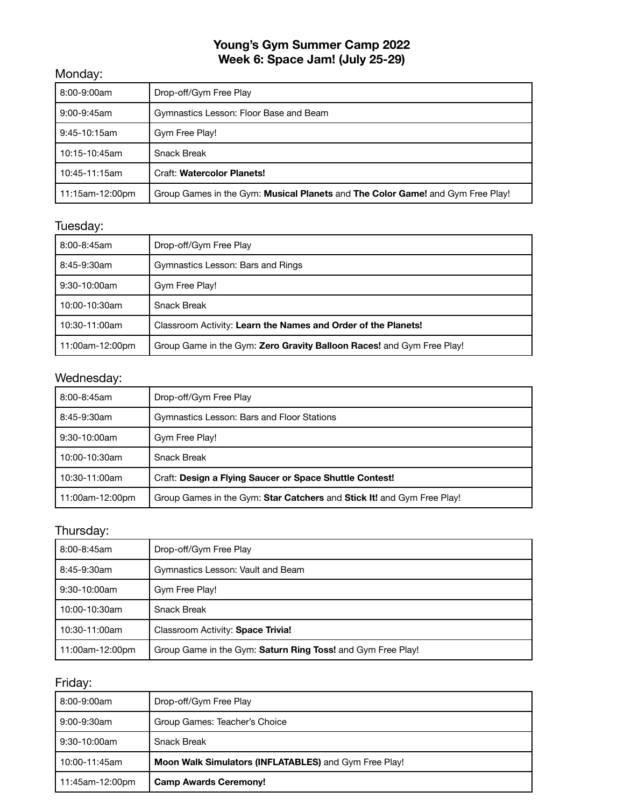# **Young's Gym Summer Camp 2022 Week 6: Space Jam! (July 25-29)**

### Monday:

| 8:00-9:00am     | Drop-off/Gym Free Play                                                         |
|-----------------|--------------------------------------------------------------------------------|
| 9:00-9:45am     | Gymnastics Lesson: Floor Base and Beam                                         |
| $9:45-10:15am$  | Gym Free Play!                                                                 |
| 10:15-10:45am   | <b>Snack Break</b>                                                             |
| 10:45-11:15am   | <b>Craft: Watercolor Planets!</b>                                              |
| 11:15am-12:00pm | Group Games in the Gym: Musical Planets and The Color Game! and Gym Free Play! |

### Tuesday:

| 8:00-8:45am     | Drop-off/Gym Free Play                                                |
|-----------------|-----------------------------------------------------------------------|
| 8:45-9:30am     | Gymnastics Lesson: Bars and Rings                                     |
| $9:30-10:00am$  | Gym Free Play!                                                        |
| 10:00-10:30am   | <b>Snack Break</b>                                                    |
| 10:30-11:00am   | Classroom Activity: Learn the Names and Order of the Planets!         |
| 11:00am-12:00pm | Group Game in the Gym: Zero Gravity Balloon Races! and Gym Free Play! |

# Wednesday:

| 8:00-8:45am     | Drop-off/Gym Free Play                                                 |
|-----------------|------------------------------------------------------------------------|
| 8:45-9:30am     | Gymnastics Lesson: Bars and Floor Stations                             |
| $9:30-10:00am$  | Gym Free Play!                                                         |
| 10:00-10:30am   | Snack Break                                                            |
| 10:30-11:00am   | Craft: Design a Flying Saucer or Space Shuttle Contest!                |
| 11:00am-12:00pm | Group Games in the Gym: Star Catchers and Stick It! and Gym Free Play! |

# Thursday:

| 8:00-8:45am     | Drop-off/Gym Free Play                                      |
|-----------------|-------------------------------------------------------------|
| 8:45-9:30am     | Gymnastics Lesson: Vault and Beam                           |
| $9:30-10:00am$  | Gym Free Play!                                              |
| 10:00-10:30am   | <b>Snack Break</b>                                          |
| 10:30-11:00am   | Classroom Activity: Space Trivia!                           |
| 11:00am-12:00pm | Group Game in the Gym: Saturn Ring Toss! and Gym Free Play! |

| 8:00-9:00am     | Drop-off/Gym Free Play                                |
|-----------------|-------------------------------------------------------|
| 9:00-9:30am     | Group Games: Teacher's Choice                         |
| 9:30-10:00am    | <b>Snack Break</b>                                    |
| l 10:00-11:45am | Moon Walk Simulators (INFLATABLES) and Gym Free Play! |
| 11:45am-12:00pm | <b>Camp Awards Ceremony!</b>                          |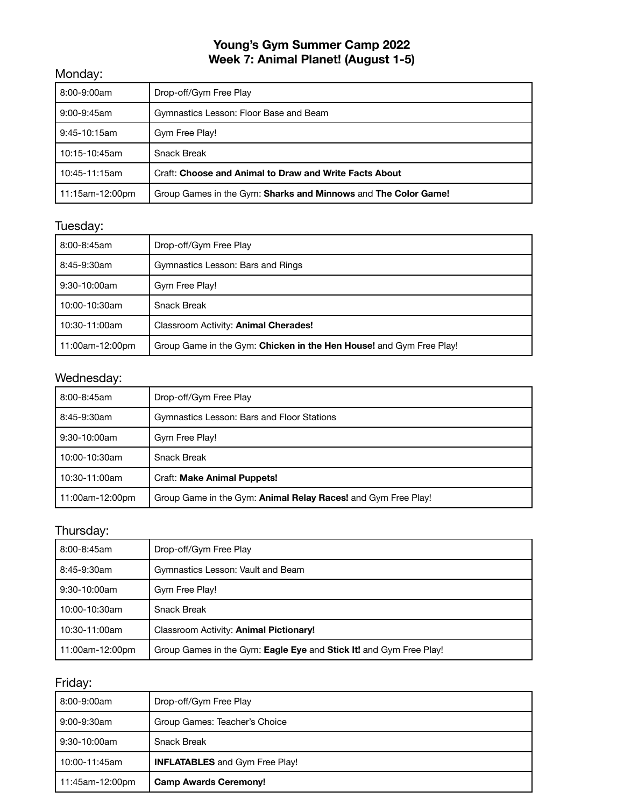# **Young's Gym Summer Camp 2022 Week 7: Animal Planet! (August 1-5)**

### Monday:

| 8:00-9:00am     | Drop-off/Gym Free Play                                         |
|-----------------|----------------------------------------------------------------|
| 9:00-9:45am     | Gymnastics Lesson: Floor Base and Beam                         |
| $9:45-10:15am$  | Gym Free Play!                                                 |
| 10:15-10:45am   | <b>Snack Break</b>                                             |
| 10:45-11:15am   | <b>Craft: Choose and Animal to Draw and Write Facts About</b>  |
| 11:15am-12:00pm | Group Games in the Gym: Sharks and Minnows and The Color Game! |

# Tuesday:

| 8:00-8:45am     | Drop-off/Gym Free Play                                              |
|-----------------|---------------------------------------------------------------------|
| 8:45-9:30am     | Gymnastics Lesson: Bars and Rings                                   |
| $9:30-10:00am$  | Gym Free Play!                                                      |
| 10:00-10:30am   | <b>Snack Break</b>                                                  |
| 10:30-11:00am   | Classroom Activity: Animal Cherades!                                |
| 11:00am-12:00pm | Group Game in the Gym: Chicken in the Hen House! and Gym Free Play! |

# Wednesday:

| 8:00-8:45am     | Drop-off/Gym Free Play                                               |
|-----------------|----------------------------------------------------------------------|
| 8:45-9:30am     | Gymnastics Lesson: Bars and Floor Stations                           |
| $9:30-10:00am$  | Gym Free Play!                                                       |
| 10:00-10:30am   | <b>Snack Break</b>                                                   |
| 10:30-11:00am   | Craft: Make Animal Puppets!                                          |
| 11:00am-12:00pm | Group Game in the Gym: <b>Animal Relay Races!</b> and Gym Free Play! |

# Thursday:

| 8:00-8:45am     | Drop-off/Gym Free Play                                             |
|-----------------|--------------------------------------------------------------------|
| 8:45-9:30am     | Gymnastics Lesson: Vault and Beam                                  |
| $9:30-10:00am$  | Gym Free Play!                                                     |
| 10:00-10:30am   | Snack Break                                                        |
| 10:30-11:00am   | Classroom Activity: Animal Pictionary!                             |
| 11:00am-12:00pm | Group Games in the Gym: Eagle Eye and Stick It! and Gym Free Play! |

| 8:00-9:00am     | Drop-off/Gym Free Play                |
|-----------------|---------------------------------------|
| 9:00-9:30am     | Group Games: Teacher's Choice         |
| 9:30-10:00am    | <b>Snack Break</b>                    |
| l 10:00-11:45am | <b>INFLATABLES</b> and Gym Free Play! |
| 11:45am-12:00pm | <b>Camp Awards Ceremony!</b>          |